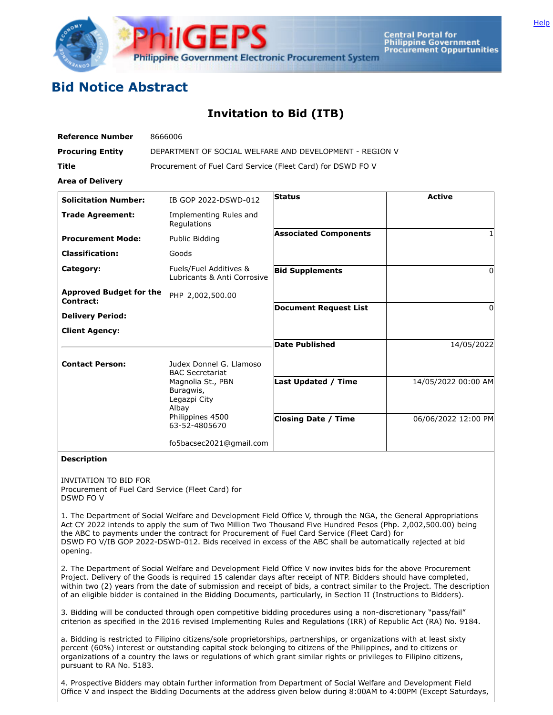

**Central Portal for Philippine Government Procurement Oppurtunities** 

## **Bid Notice Abstract**

## **Invitation to Bid (ITB)**

| <b>Reference Number</b>                     | 8666006                                                                                      |                              |                     |
|---------------------------------------------|----------------------------------------------------------------------------------------------|------------------------------|---------------------|
| <b>Procuring Entity</b>                     | DEPARTMENT OF SOCIAL WELFARE AND DEVELOPMENT - REGION V                                      |                              |                     |
| Title                                       | Procurement of Fuel Card Service (Fleet Card) for DSWD FO V                                  |                              |                     |
| <b>Area of Delivery</b>                     |                                                                                              |                              |                     |
| <b>Solicitation Number:</b>                 | IB GOP 2022-DSWD-012                                                                         | <b>Status</b>                | <b>Active</b>       |
| <b>Trade Agreement:</b>                     | Implementing Rules and<br>Regulations                                                        |                              |                     |
| <b>Procurement Mode:</b>                    | Public Bidding                                                                               | <b>Associated Components</b> |                     |
| <b>Classification:</b>                      | Goods                                                                                        |                              |                     |
| Category:                                   | Fuels/Fuel Additives &<br>Lubricants & Anti Corrosive                                        | <b>Bid Supplements</b>       | 0                   |
| <b>Approved Budget for the</b><br>Contract: | PHP 2,002,500.00                                                                             |                              |                     |
| <b>Delivery Period:</b>                     |                                                                                              | <b>Document Request List</b> | 0                   |
| <b>Client Agency:</b>                       |                                                                                              |                              |                     |
|                                             |                                                                                              | <b>Date Published</b>        | 14/05/2022          |
| <b>Contact Person:</b>                      | Judex Donnel G. Llamoso<br><b>BAC Secretariat</b>                                            |                              |                     |
|                                             | Magnolia St., PBN<br>Buragwis,<br>Legazpi City<br>Albay<br>Philippines 4500<br>63-52-4805670 | <b>Last Updated / Time</b>   | 14/05/2022 00:00 AM |
|                                             |                                                                                              | <b>Closing Date / Time</b>   | 06/06/2022 12:00 PM |
|                                             | fo5bacsec2021@gmail.com                                                                      |                              |                     |

## **Description**

INVITATION TO BID FOR Procurement of Fuel Card Service (Fleet Card) for DSWD FO V

1. The Department of Social Welfare and Development Field Office V, through the NGA, the General Appropriations Act CY 2022 intends to apply the sum of Two Million Two Thousand Five Hundred Pesos (Php. 2,002,500.00) being the ABC to payments under the contract for Procurement of Fuel Card Service (Fleet Card) for DSWD FO V/IB GOP 2022-DSWD-012. Bids received in excess of the ABC shall be automatically rejected at bid opening.

2. The Department of Social Welfare and Development Field Office V now invites bids for the above Procurement Project. Delivery of the Goods is required 15 calendar days after receipt of NTP. Bidders should have completed, within two (2) years from the date of submission and receipt of bids, a contract similar to the Project. The description of an eligible bidder is contained in the Bidding Documents, particularly, in Section II (Instructions to Bidders).

3. Bidding will be conducted through open competitive bidding procedures using a non-discretionary "pass/fail" criterion as specified in the 2016 revised Implementing Rules and Regulations (IRR) of Republic Act (RA) No. 9184.

a. Bidding is restricted to Filipino citizens/sole proprietorships, partnerships, or organizations with at least sixty percent (60%) interest or outstanding capital stock belonging to citizens of the Philippines, and to citizens or organizations of a country the laws or regulations of which grant similar rights or privileges to Filipino citizens, pursuant to RA No. 5183.

4. Prospective Bidders may obtain further information from Department of Social Welfare and Development Field Office V and inspect the Bidding Documents at the address given below during 8:00AM to 4:00PM (Except Saturdays,